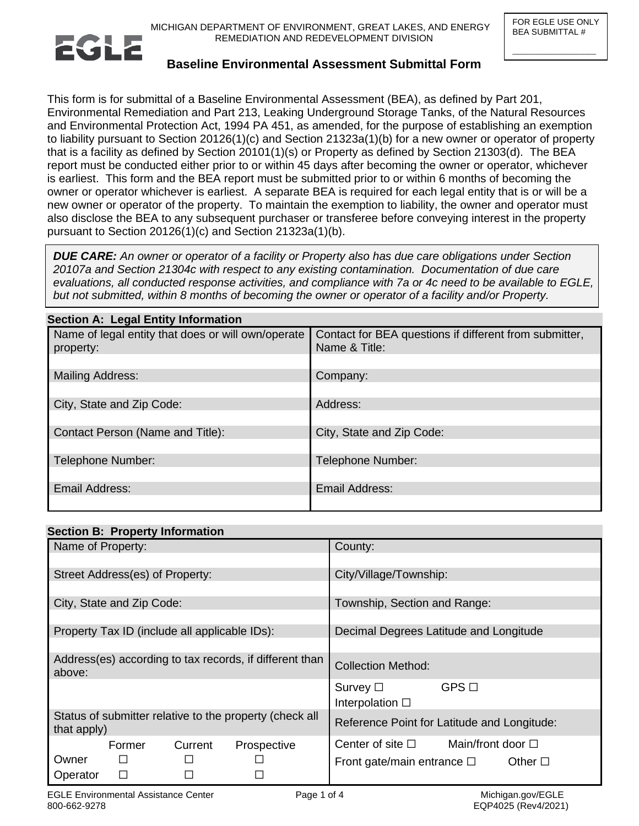$\_$ 



# **Baseline Environmental Assessment Submittal Form**

This form is for submittal of a Baseline Environmental Assessment (BEA), as defined by Part 201, Environmental Remediation and Part 213, Leaking Underground Storage Tanks, of the Natural Resources and Environmental Protection Act, 1994 PA 451, as amended, for the purpose of establishing an exemption to liability pursuant to Section 20126(1)(c) and Section 21323a(1)(b) for a new owner or operator of property that is a facility as defined by Section 20101(1)(s) or Property as defined by Section 21303(d). The BEA report must be conducted either prior to or within 45 days after becoming the owner or operator, whichever is earliest. This form and the BEA report must be submitted prior to or within 6 months of becoming the owner or operator whichever is earliest. A separate BEA is required for each legal entity that is or will be a new owner or operator of the property. To maintain the exemption to liability, the owner and operator must also disclose the BEA to any subsequent purchaser or transferee before conveying interest in the property pursuant to Section 20126(1)(c) and Section 21323a(1)(b).

*DUE CARE: An owner or operator of a facility or Property also has due care obligations under Section 20107a and Section 21304c with respect to any existing contamination. Documentation of due care evaluations, all conducted response activities, and compliance with 7a or 4c need to be available to EGLE, but not submitted, within 8 months of becoming the owner or operator of a facility and/or Property.* 

| $\sim$                                                          |                                                                         |  |  |
|-----------------------------------------------------------------|-------------------------------------------------------------------------|--|--|
| Name of legal entity that does or will own/operate<br>property: | Contact for BEA questions if different from submitter,<br>Name & Title: |  |  |
|                                                                 |                                                                         |  |  |
| Mailing Address:                                                | Company:                                                                |  |  |
|                                                                 |                                                                         |  |  |
| City, State and Zip Code:                                       | Address:                                                                |  |  |
| Contact Person (Name and Title):                                | City, State and Zip Code:                                               |  |  |
|                                                                 |                                                                         |  |  |
| Telephone Number:                                               | Telephone Number:                                                       |  |  |
|                                                                 |                                                                         |  |  |
| <b>Email Address:</b>                                           | <b>Email Address:</b>                                                   |  |  |
|                                                                 |                                                                         |  |  |

# **Section B: Property Information**

**Section A: Legal Entity Information** 

|                                                                        | $\sim$ |         |             |                                                                |  |
|------------------------------------------------------------------------|--------|---------|-------------|----------------------------------------------------------------|--|
| Name of Property:                                                      |        |         |             | County:                                                        |  |
| Street Address(es) of Property:                                        |        |         |             | City/Village/Township:                                         |  |
|                                                                        |        |         |             |                                                                |  |
| City, State and Zip Code:                                              |        |         |             | Township, Section and Range:                                   |  |
|                                                                        |        |         |             |                                                                |  |
| Property Tax ID (include all applicable IDs):                          |        |         |             | Decimal Degrees Latitude and Longitude                         |  |
| Address(es) according to tax records, if different than<br>above:      |        |         |             | <b>Collection Method:</b>                                      |  |
|                                                                        |        |         |             | $GPS$ $\square$<br>Survey $\square$<br>Interpolation $\square$ |  |
| Status of submitter relative to the property (check all<br>that apply) |        |         |             | Reference Point for Latitude and Longitude:                    |  |
|                                                                        | Former | Current | Prospective | Main/front door $\Box$<br>Center of site $\square$             |  |
| Owner                                                                  | $\Box$ |         |             | Other $\square$<br>Front gate/main entrance $\square$          |  |
| Operator                                                               | □      |         | П           |                                                                |  |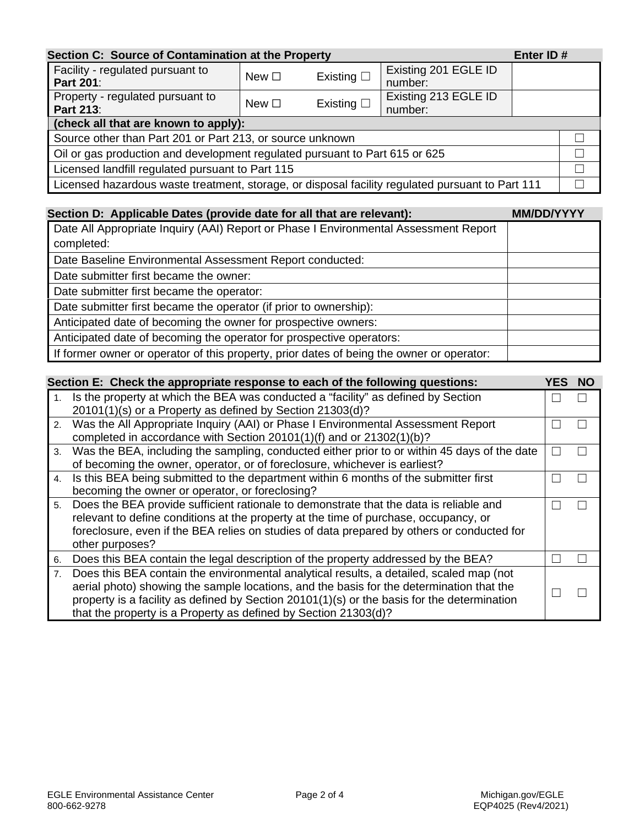| Section C: Source of Contamination at the Property<br>Enter ID#                                  |               |                    |                                 |  |  |
|--------------------------------------------------------------------------------------------------|---------------|--------------------|---------------------------------|--|--|
| Facility - regulated pursuant to<br><b>Part 201:</b>                                             | New $\square$ | Existing $\square$ | Existing 201 EGLE ID<br>number: |  |  |
| Property - regulated pursuant to<br><b>Part 213:</b>                                             | New $\square$ | Existing $\square$ | Existing 213 EGLE ID<br>number: |  |  |
| (check all that are known to apply):                                                             |               |                    |                                 |  |  |
| Source other than Part 201 or Part 213, or source unknown                                        |               |                    |                                 |  |  |
| Oil or gas production and development regulated pursuant to Part 615 or 625                      |               |                    |                                 |  |  |
| Licensed landfill regulated pursuant to Part 115                                                 |               |                    |                                 |  |  |
| Licensed hazardous waste treatment, storage, or disposal facility regulated pursuant to Part 111 |               |                    |                                 |  |  |

| Section D: Applicable Dates (provide date for all that are relevant):                     | <b>MM/DD/YYYY</b> |
|-------------------------------------------------------------------------------------------|-------------------|
| Date All Appropriate Inquiry (AAI) Report or Phase I Environmental Assessment Report      |                   |
| completed:                                                                                |                   |
| Date Baseline Environmental Assessment Report conducted:                                  |                   |
| Date submitter first became the owner:                                                    |                   |
| Date submitter first became the operator:                                                 |                   |
| Date submitter first became the operator (if prior to ownership):                         |                   |
| Anticipated date of becoming the owner for prospective owners:                            |                   |
| Anticipated date of becoming the operator for prospective operators:                      |                   |
| If former owner or operator of this property, prior dates of being the owner or operator: |                   |

| Section E: Check the appropriate response to each of the following questions:<br>YES. |                                                                                              |  |  |
|---------------------------------------------------------------------------------------|----------------------------------------------------------------------------------------------|--|--|
|                                                                                       | Is the property at which the BEA was conducted a "facility" as defined by Section            |  |  |
|                                                                                       | 20101(1)(s) or a Property as defined by Section 21303(d)?                                    |  |  |
|                                                                                       | 2. Was the All Appropriate Inquiry (AAI) or Phase I Environmental Assessment Report          |  |  |
|                                                                                       | completed in accordance with Section 20101(1)(f) and or 21302(1)(b)?                         |  |  |
| 3.                                                                                    | Was the BEA, including the sampling, conducted either prior to or within 45 days of the date |  |  |
|                                                                                       | of becoming the owner, operator, or of foreclosure, whichever is earliest?                   |  |  |
| 4.                                                                                    | Is this BEA being submitted to the department within 6 months of the submitter first         |  |  |
|                                                                                       | becoming the owner or operator, or foreclosing?                                              |  |  |
| 5.                                                                                    | Does the BEA provide sufficient rationale to demonstrate that the data is reliable and       |  |  |
|                                                                                       | relevant to define conditions at the property at the time of purchase, occupancy, or         |  |  |
|                                                                                       | foreclosure, even if the BEA relies on studies of data prepared by others or conducted for   |  |  |
|                                                                                       | other purposes?                                                                              |  |  |
| 6.                                                                                    | Does this BEA contain the legal description of the property addressed by the BEA?            |  |  |
| 7.                                                                                    | Does this BEA contain the environmental analytical results, a detailed, scaled map (not      |  |  |
|                                                                                       | aerial photo) showing the sample locations, and the basis for the determination that the     |  |  |
|                                                                                       | property is a facility as defined by Section 20101(1)(s) or the basis for the determination  |  |  |
|                                                                                       | that the property is a Property as defined by Section 21303(d)?                              |  |  |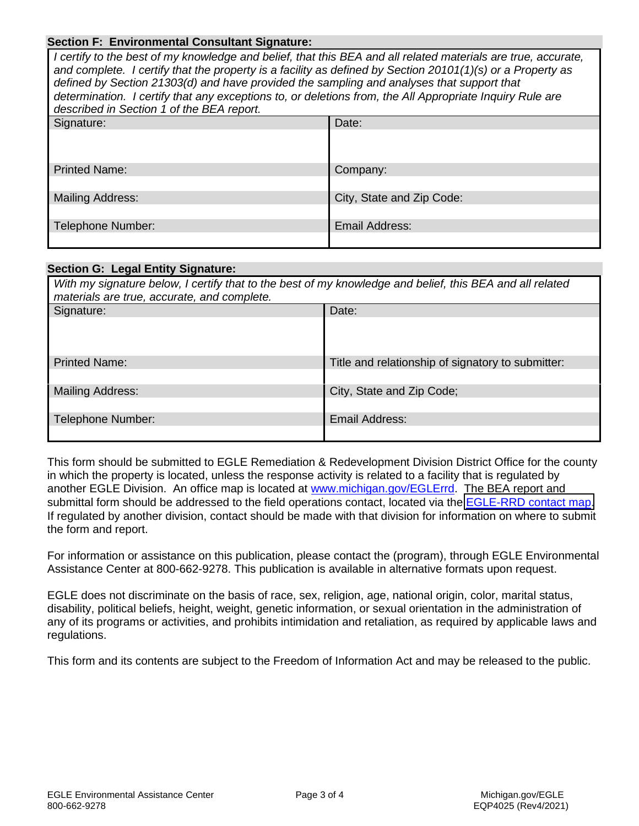#### **Section F: Environmental Consultant Signature:**

| I certify to the best of my knowledge and belief, that this BEA and all related materials are true, accurate,<br>and complete. I certify that the property is a facility as defined by Section 20101(1)(s) or a Property as<br>defined by Section 21303(d) and have provided the sampling and analyses that support that<br>determination. I certify that any exceptions to, or deletions from, the All Appropriate Inquiry Rule are<br>described in Section 1 of the BEA report. |                           |  |
|-----------------------------------------------------------------------------------------------------------------------------------------------------------------------------------------------------------------------------------------------------------------------------------------------------------------------------------------------------------------------------------------------------------------------------------------------------------------------------------|---------------------------|--|
| Signature:                                                                                                                                                                                                                                                                                                                                                                                                                                                                        | Date:                     |  |
|                                                                                                                                                                                                                                                                                                                                                                                                                                                                                   |                           |  |
| <b>Printed Name:</b>                                                                                                                                                                                                                                                                                                                                                                                                                                                              | Company:                  |  |
|                                                                                                                                                                                                                                                                                                                                                                                                                                                                                   |                           |  |
| Mailing Address:                                                                                                                                                                                                                                                                                                                                                                                                                                                                  | City, State and Zip Code: |  |
|                                                                                                                                                                                                                                                                                                                                                                                                                                                                                   |                           |  |
| <b>Telephone Number:</b>                                                                                                                                                                                                                                                                                                                                                                                                                                                          | Email Address:            |  |
|                                                                                                                                                                                                                                                                                                                                                                                                                                                                                   |                           |  |

#### **Section G: Legal Entity Signature:**

| With my signature below, I certify that to the best of my knowledge and belief, this BEA and all related<br>materials are true, accurate, and complete. |                                                   |  |
|---------------------------------------------------------------------------------------------------------------------------------------------------------|---------------------------------------------------|--|
| Signature:                                                                                                                                              | Date:                                             |  |
|                                                                                                                                                         |                                                   |  |
| <b>Printed Name:</b>                                                                                                                                    | Title and relationship of signatory to submitter: |  |
| <b>Mailing Address:</b>                                                                                                                                 | City, State and Zip Code;                         |  |
| Telephone Number:                                                                                                                                       | Email Address:                                    |  |

This form should be submitted to EGLE Remediation & Redevelopment Division District Office for the county in which the property is located, unless the response activity is related to a facility that is regulated by another EGLE Division. An office map is located at [www.michigan.gov/EGLErrd.](http://www.michigan.gov/EGLErrd) The BEA report and submittal form should be addressed to the field operations contact, located via the [EGLE-RRD contact map](https://www.michigan.gov/egle/contact/district-office-locations). If regulated by another division, contact should be made with that division for information on where to submit the form and report.

For information or assistance on this publication, please contact the (program), through EGLE Environmental Assistance Center at 800-662-9278. This publication is available in alternative formats upon request.

EGLE does not discriminate on the basis of race, sex, religion, age, national origin, color, marital status, disability, political beliefs, height, weight, genetic information, or sexual orientation in the administration of any of its programs or activities, and prohibits intimidation and retaliation, as required by applicable laws and regulations.

This form and its contents are subject to the Freedom of Information Act and may be released to the public.